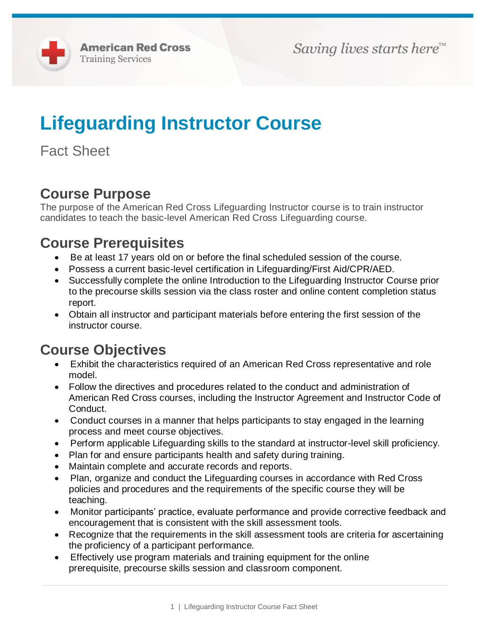# **Lifeguarding Instructor Course**

Fact Sheet

# **Course Purpose**

The purpose of the American Red Cross Lifeguarding Instructor course is to train instructor candidates to teach the basic-level American Red Cross Lifeguarding course.

# **Course Prerequisites**

- Be at least 17 years old on or before the final scheduled session of the course.
- Possess a current basic-level certification in Lifeguarding/First Aid/CPR/AED.
- Successfully complete the online Introduction to the Lifeguarding Instructor Course prior to the precourse skills session via the class roster and online content completion status report.
- Obtain all instructor and participant materials before entering the first session of the instructor course.

## **Course Objectives**

- Exhibit the characteristics required of an American Red Cross representative and role model.
- Follow the directives and procedures related to the conduct and administration of American Red Cross courses, including the Instructor Agreement and Instructor Code of Conduct.
- Conduct courses in a manner that helps participants to stay engaged in the learning process and meet course objectives.
- Perform applicable Lifeguarding skills to the standard at instructor-level skill proficiency.
- Plan for and ensure participants health and safety during training.
- Maintain complete and accurate records and reports.
- Plan, organize and conduct the Lifeguarding courses in accordance with Red Cross policies and procedures and the requirements of the specific course they will be teaching.
- Monitor participants' practice, evaluate performance and provide corrective feedback and encouragement that is consistent with the skill assessment tools.
- Recognize that the requirements in the skill assessment tools are criteria for ascertaining the proficiency of a participant performance.
- Effectively use program materials and training equipment for the online prerequisite, precourse skills session and classroom component.